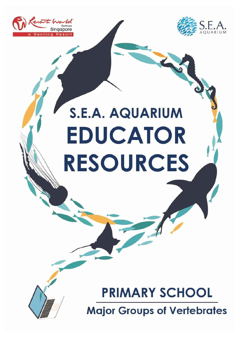



# **S.E.A. AQUARIUM** EDUCATOR **RESOURCES**

## **PRIMARY SCHOOL Major Groups of Vertebrates**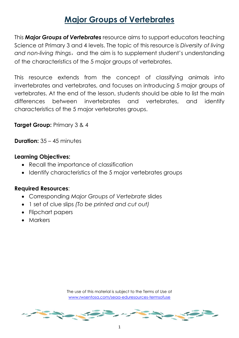## **Major Groups of Vertebrates**

This *Major Groups of Vertebrates* resource aims to support educators teaching Science at Primary 3 and 4 levels. The topic of this resource is *Diversity of living*  and non-living things, and the aim is to supplement student's understanding of the characteristics of the 5 major groups of vertebrates.

This resource extends from the concept of classifying animals into invertebrates and vertebrates, and focuses on introducing 5 major groups of vertebrates. At the end of the lesson, students should be able to list the main differences between invertebrates and vertebrates, and identify characteristics of the 5 major vertebrates groups.

**Target Group:** Primary 3 & 4

**Duration:** 35 – 45 minutes

## **Learning Objectives:**

- Recall the importance of classification
- Identify characteristics of the 5 major vertebrates groups

## **Required Resources**:

- Corresponding *Major Groups of Vertebrate* slides
- 1 set of clue slips *(To be printed and cut out)*
- Flipchart papers
- Markers

The use of this material is subject to the Terms of Use at [www.rwsentosa.com/seaa-eduresources-termsofuse](http://www.rwsentosa.com/seaa-eduresources-termsofuse)

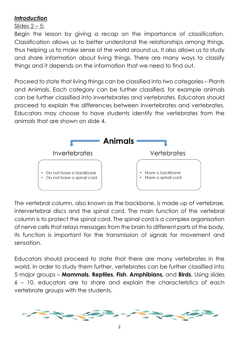## *Introduction*

## Slides  $2 - 5$ :

Begin the lesson by giving a recap on the importance of classification. Classification allows us to better understand the relationships among things, thus helping us to make sense of the world around us. It also allows us to study and share information about living things. There are many ways to classify things and it depends on the information that we need to find out.

Proceed to state that living things can be classified into two categories – Plants and Animals. Each category can be further classified, for example animals can be further classified into invertebrates and vertebrates. Educators should proceed to explain the differences between invertebrates and vertebrates. Educators may choose to have students identify the vertebrates from the animals that are shown on slide 4.



The vertebral column, also known as the backbone, is made up of vertebrae, intervertebral discs and the spinal cord. The main function of the vertebral column is to protect the spinal cord. The spinal cord is a complex organisation of nerve cells that relays messages from the brain to different parts of the body. Its function is important for the transmission of signals for movement and sensation.

Educators should proceed to state that there are many vertebrates in the world. In order to study them further, vertebrates can be further classified into 5 major groups – **Mammals**, **Reptiles**, **Fish**, **Amphibians,** and **Birds**. Using slides 6 – 10, educators are to share and explain the characteristics of each vertebrate groups with the students.

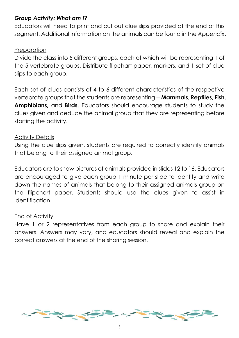## *Group Activity: What am I?*

Educators will need to print and cut out clue slips provided at the end of this segment. Additional information on the animals can be found in the *Appendix*.

## Preparation

Divide the class into 5 different groups, each of which will be representing 1 of the 5 vertebrate groups. Distribute flipchart paper, markers, and 1 set of clue slips to each group.

Each set of clues consists of 4 to 6 different characteristics of the respective vertebrate groups that the students are representing -- **Mammals**, **Reptiles**, **Fish**, **Amphibians,** and **Birds**. Educators should encourage students to study the clues given and deduce the animal group that they are representing before starting the activity.

## Activity Details

Using the clue slips given, students are required to correctly identify animals that belong to their assigned animal group.

Educators are to show pictures of animals provided in slides 12 to 16. Educators are encouraged to give each group 1 minute per slide to identify and write down the names of animals that belong to their assigned animals group on the flipchart paper. Students should use the clues given to assist in identification.

## End of Activity

Have 1 or 2 representatives from each group to share and explain their answers. Answers may vary, and educators should reveal and explain the correct answers at the end of the sharing session.

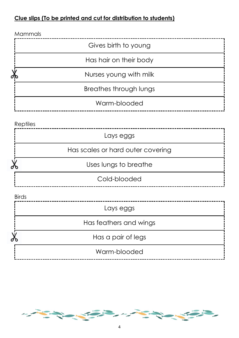## **Clue slips (To be printed and cut for distribution to students)**

| <b>Mammals</b> |                        |  |
|----------------|------------------------|--|
|                | Gives birth to young   |  |
|                | Has hair on their body |  |
| $\chi$         | Nurses young with milk |  |
|                | Breathes through lungs |  |
|                | Warm-blooded           |  |



 $\chi$ 

| Lays eggs              |  |
|------------------------|--|
| Has feathers and wings |  |
| Has a pair of legs     |  |
| Warm-blooded           |  |

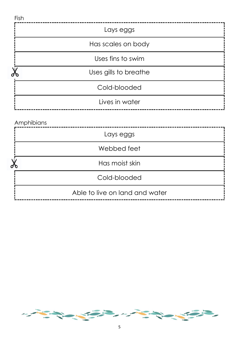| Fish       |                       |  |
|------------|-----------------------|--|
|            | Lays eggs             |  |
|            | Has scales on body    |  |
|            | Uses fins to swim     |  |
|            | Uses gills to breathe |  |
|            | Cold-blooded          |  |
|            | Lives in water        |  |
| Amphibians |                       |  |
|            | Lays eggs             |  |
|            | Webbed feet           |  |
|            | Has moist skin        |  |
|            | Cold-blooded          |  |

## Able to live on land and water

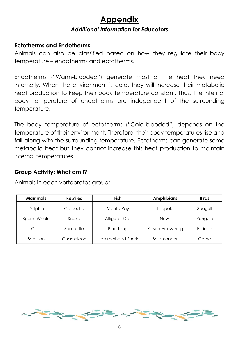## **Appendix** *Additional Information for Educators*

## **Ectotherms and Endotherms**

Animals can also be classified based on how they regulate their body temperature – endotherms and ectotherms.

Endotherms ("Warm-blooded") generate most of the heat they need internally. When the environment is cold, they will increase their metabolic heat production to keep their body temperature constant. Thus, the internal body temperature of endotherms are independent of the surrounding temperature.

The body temperature of ectotherms ("Cold-blooded") depends on the temperature of their environment. Therefore, their body temperatures rise and fall along with the surrounding temperature. Ectotherms can generate some metabolic heat but they cannot increase this heat production to maintain internal temperatures.

## **Group Activity: What am I?**

Animals in each vertebrates group:

| <b>Mammals</b> | <b>Reptiles</b> | Fish             | <b>Amphibians</b> | <b>Birds</b> |
|----------------|-----------------|------------------|-------------------|--------------|
| Dolphin        | Crocodile       | Manta Ray        | Tadpole           | Seagull      |
| Sperm Whale    | Snake           | Alligator Gar    | <b>Newt</b>       | Penguin      |
| Orca           | Sea Turtle      | <b>Blue Tang</b> | Poison Arrow Frog | Pelican      |
| Sea Lion       | Chameleon       | Hammerhead Shark | Salamander        | Crane        |

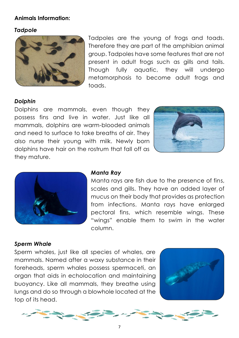## **Animals Information:**

## *Tadpole*



Tadpoles are the young of frogs and toads. Therefore they are part of the amphibian animal group. Tadpoles have some features that are not present in adult frogs such as gills and tails. Though fully aquatic, they will undergo metamorphosis to become adult frogs and toads.

## *Dolphin*

Dolphins are mammals, even though they possess fins and live in water. Just like all mammals, dolphins are warm-blooded animals and need to surface to take breaths of air. They also nurse their young with milk. Newly born dolphins have hair on the rostrum that fall off as they mature.





#### *Manta Ray*

Manta rays are fish due to the presence of fins, scales and gills. They have an added layer of mucus on their body that provides as protection from infections. Manta rays have enlarged pectoral fins, which resemble wings. These "wings" enable them to swim in the water column.

## *Sperm Whale*

Sperm whales, just like all species of whales, are mammals. Named after a waxy substance in their foreheads, sperm whales possess spermaceti, an organ that aids in echolocation and maintaining buoyancy. Like all mammals, they breathe using lungs and do so through a blowhole located at the top of its head.